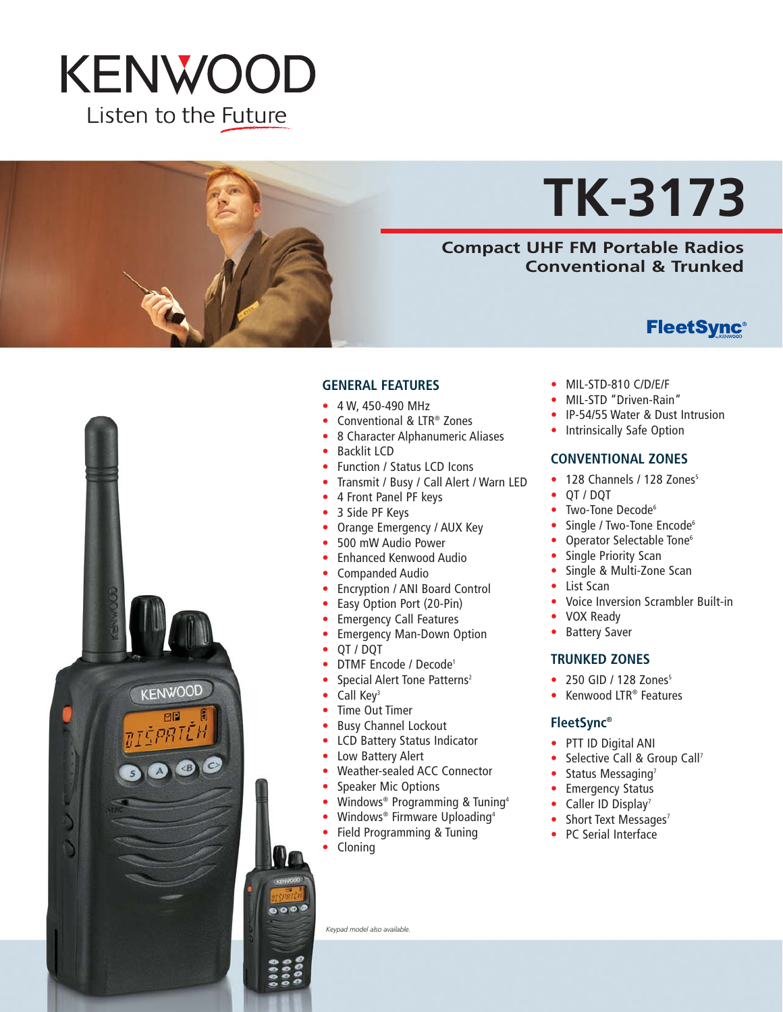

# **TK-3173**

## **Compact UHF FM Portable Radios Conventional & Trunked**

# **FleetSync®**



#### **GENERAL FEATURES**

- 4 W, 450-490 MHz
- Conventional & LTR® Zones
- 8 Character Alphanumeric Aliases
- Backlit LCD
- Function / Status LCD Icons
- Transmit / Busy / Call Alert / Warn LED
- 4 Front Panel PF keys
- 3 Side PF Keys
- Orange Emergency / AUX Key
- 500 mW Audio Power
- Enhanced Kenwood Audio
- Companded Audio
- Encryption / ANI Board Control
- Easy Option Port (20-Pin)
- Emergency Call Features
- Emergency Man-Down Option
- QT / DQT
- DTMF Encode / Decode1
- Special Alert Tone Patterns<sup>2</sup>
- Call Kev<sup>3</sup>
- Time Out Timer
- Busy Channel Lockout
- LCD Battery Status Indicator
- Low Battery Alert
- Weather-sealed ACC Connector
- Speaker Mic Options
- Windows<sup>®</sup> Programming & Tuning<sup>4</sup>
- Windows® Firmware Uploading4
- Field Programming & Tuning
- Cloning

*Keypad model also available.*

- MIL-STD-810 C/D/E/F
- MIL-STD "Driven-Rain"
- IP-54/55 Water & Dust Intrusion
- Intrinsically Safe Option

#### **CONVENTIONAL ZONES**

- $\bullet$  128 Channels / 128 Zones<sup>5</sup>
- QT / DQT
- Two-Tone Decode<sup>6</sup>
- Single / Two-Tone Encode<sup>6</sup>
- Operator Selectable Tone<sup>6</sup>
- Single Priority Scan
- Single & Multi-Zone Scan
- List Scan
- Voice Inversion Scrambler Built-in
- VOX Ready
- Battery Saver

#### **TRUNKED ZONES**

- $\bullet$  250 GID / 128 Zones<sup>5</sup>
- Kenwood LTR® Features

#### **FleetSync®**

- PTT ID Digital ANI
- Selective Call & Group Call<sup>7</sup>
- Status Messaging<sup>7</sup>
- Emergency Status
- Caller ID Display<sup>7</sup>
- Short Text Messages<sup>7</sup>
- PC Serial Interface